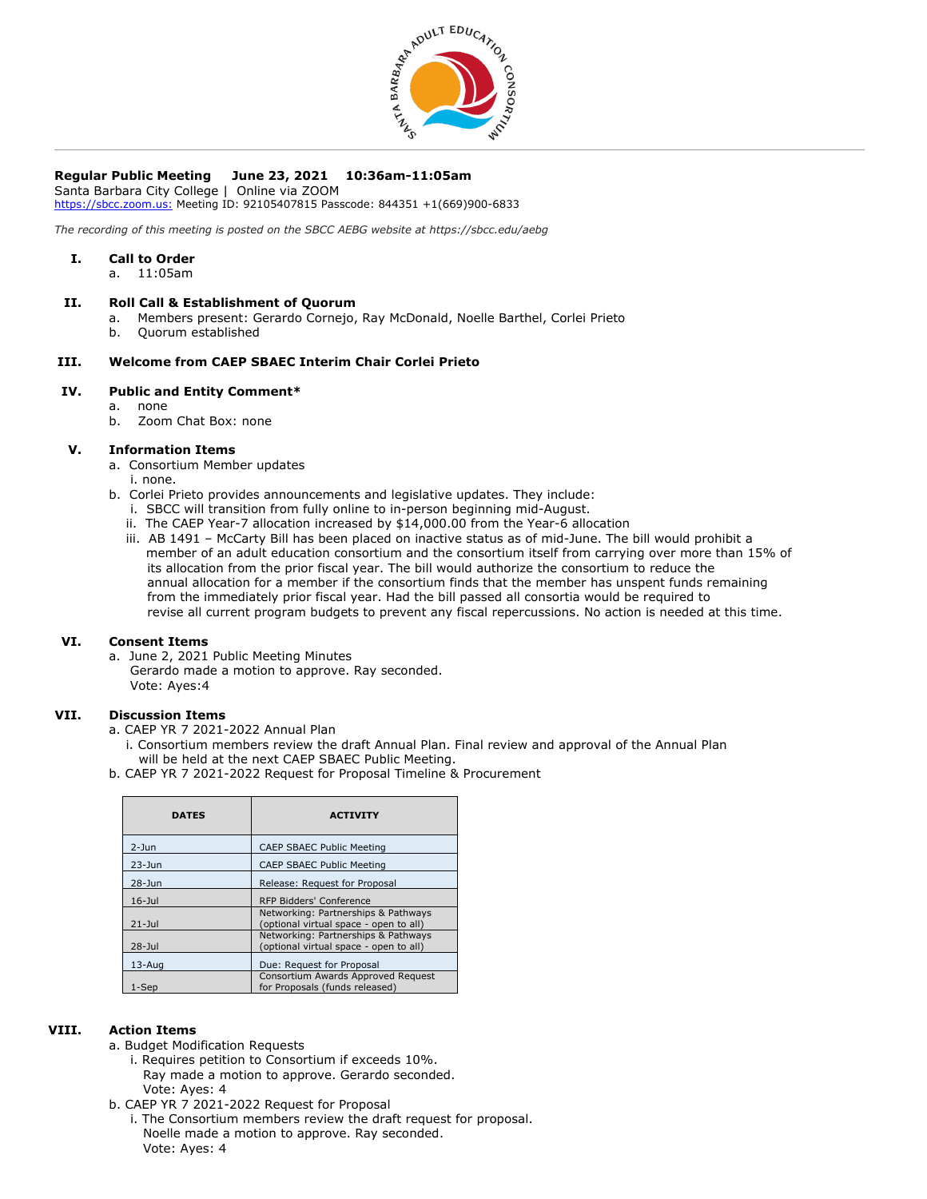

# **Regular Public Meeting June 23, 2021 10:36am-11:05am**

Santa Barbara City College | Online via ZOOM [https://sbcc.zoom.us:](https://sbcc.zoom.us/) Meeting ID: 92105407815 Passcode: 844351 +1(669)900-6833

*The recording of this meeting is posted on the SBCC AEBG website at https://sbcc.edu/aebg*

### **I. Call to Order**

a. 11:05am

### **II. Roll Call & Establishment of Quorum**

- a. Members present: Gerardo Cornejo, Ray McDonald, Noelle Barthel, Corlei Prieto
- b. Quorum established

# **III. Welcome from CAEP SBAEC Interim Chair Corlei Prieto**

### **IV. Public and Entity Comment\***

- a. none
- b. Zoom Chat Box: none

### **V. Information Items**

- a. Consortium Member updates
- i. none.
- b. Corlei Prieto provides announcements and legislative updates. They include:
	- i. SBCC will transition from fully online to in-person beginning mid-August.
	- ii. The CAEP Year-7 allocation increased by \$14,000.00 from the Year-6 allocation
	- iii. AB 1491 McCarty Bill has been placed on inactive status as of mid-June. The bill would prohibit a member of an adult education consortium and the consortium itself from carrying over more than 15% of its allocation from the prior fiscal year. The bill would authorize the consortium to reduce the annual allocation for a member if the consortium finds that the member has unspent funds remaining from the immediately prior fiscal year. Had the bill passed all consortia would be required to revise all current program budgets to prevent any fiscal repercussions. No action is needed at this time.

# **VI. Consent Items**

a. June 2, 2021 Public Meeting Minutes Gerardo made a motion to approve. Ray seconded. Vote: Ayes:4

### **VII. Discussion Items**

- a. CAEP YR 7 2021-2022 Annual Plan
- i. Consortium members review the draft Annual Plan. Final review and approval of the Annual Plan will be held at the next CAEP SBAEC Public Meeting.
- b. CAEP YR 7 2021-2022 Request for Proposal Timeline & Procurement

| <b>DATES</b> | <b>ACTIVITY</b>                                                               |
|--------------|-------------------------------------------------------------------------------|
| $2 - Jun$    | <b>CAEP SBAEC Public Meeting</b>                                              |
| $23 - Jun$   | <b>CAEP SBAEC Public Meeting</b>                                              |
| $28 - Jun$   | Release: Request for Proposal                                                 |
| $16 -$ Jul   | RFP Bidders' Conference                                                       |
| $21 -$ Jul   | Networking: Partnerships & Pathways<br>(optional virtual space - open to all) |
| $28 -$ Jul   | Networking: Partnerships & Pathways<br>(optional virtual space - open to all) |
| $13 - Aug$   | Due: Request for Proposal                                                     |
| 1-Sep        | Consortium Awards Approved Request<br>for Proposals (funds released)          |

### **VIII. Action Items**

- a. Budget Modification Requests
	- i. Requires petition to Consortium if exceeds 10%. Ray made a motion to approve. Gerardo seconded. Vote: Ayes: 4
- b. CAEP YR 7 2021-2022 Request for Proposal
- i. The Consortium members review the draft request for proposal. Noelle made a motion to approve. Ray seconded. Vote: Ayes: 4